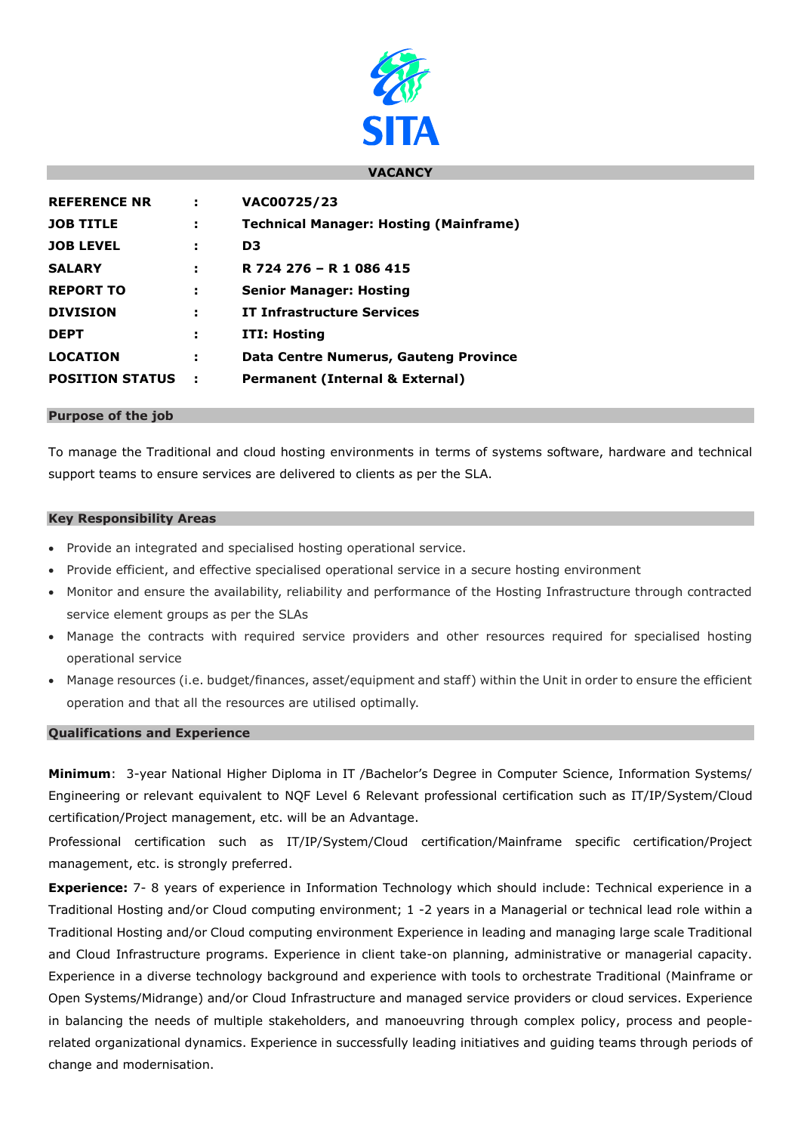

## **VACANCY**

| <b>REFERENCE NR</b>    | ÷ | VAC00725/23                                   |
|------------------------|---|-----------------------------------------------|
| <b>JOB TITLE</b>       | ÷ | <b>Technical Manager: Hosting (Mainframe)</b> |
| <b>JOB LEVEL</b>       | ÷ | D3                                            |
| <b>SALARY</b>          | н | R 724 276 - R 1 086 415                       |
| <b>REPORT TO</b>       | н | <b>Senior Manager: Hosting</b>                |
| <b>DIVISION</b>        | ÷ | <b>IT Infrastructure Services</b>             |
| <b>DEPT</b>            | н | ITI: Hosting                                  |
| <b>LOCATION</b>        | н | <b>Data Centre Numerus, Gauteng Province</b>  |
| <b>POSITION STATUS</b> |   | <b>Permanent (Internal &amp; External)</b>    |

### **Purpose of the job**

To manage the Traditional and cloud hosting environments in terms of systems software, hardware and technical support teams to ensure services are delivered to clients as per the SLA.

### **Key Responsibility Areas**

- Provide an integrated and specialised hosting operational service.
- Provide efficient, and effective specialised operational service in a secure hosting environment
- Monitor and ensure the availability, reliability and performance of the Hosting Infrastructure through contracted service element groups as per the SLAs
- Manage the contracts with required service providers and other resources required for specialised hosting operational service
- Manage resources (i.e. budget/finances, asset/equipment and staff) within the Unit in order to ensure the efficient operation and that all the resources are utilised optimally.

# **Qualifications and Experience**

**Minimum**: 3-year National Higher Diploma in IT /Bachelor's Degree in Computer Science, Information Systems/ Engineering or relevant equivalent to NQF Level 6 Relevant professional certification such as IT/IP/System/Cloud certification/Project management, etc. will be an Advantage.

Professional certification such as IT/IP/System/Cloud certification/Mainframe specific certification/Project management, etc. is strongly preferred.

**Experience:** 7- 8 years of experience in Information Technology which should include: Technical experience in a Traditional Hosting and/or Cloud computing environment; 1 -2 years in a Managerial or technical lead role within a Traditional Hosting and/or Cloud computing environment Experience in leading and managing large scale Traditional and Cloud Infrastructure programs. Experience in client take-on planning, administrative or managerial capacity. Experience in a diverse technology background and experience with tools to orchestrate Traditional (Mainframe or Open Systems/Midrange) and/or Cloud Infrastructure and managed service providers or cloud services. Experience in balancing the needs of multiple stakeholders, and manoeuvring through complex policy, process and peoplerelated organizational dynamics. Experience in successfully leading initiatives and guiding teams through periods of change and modernisation.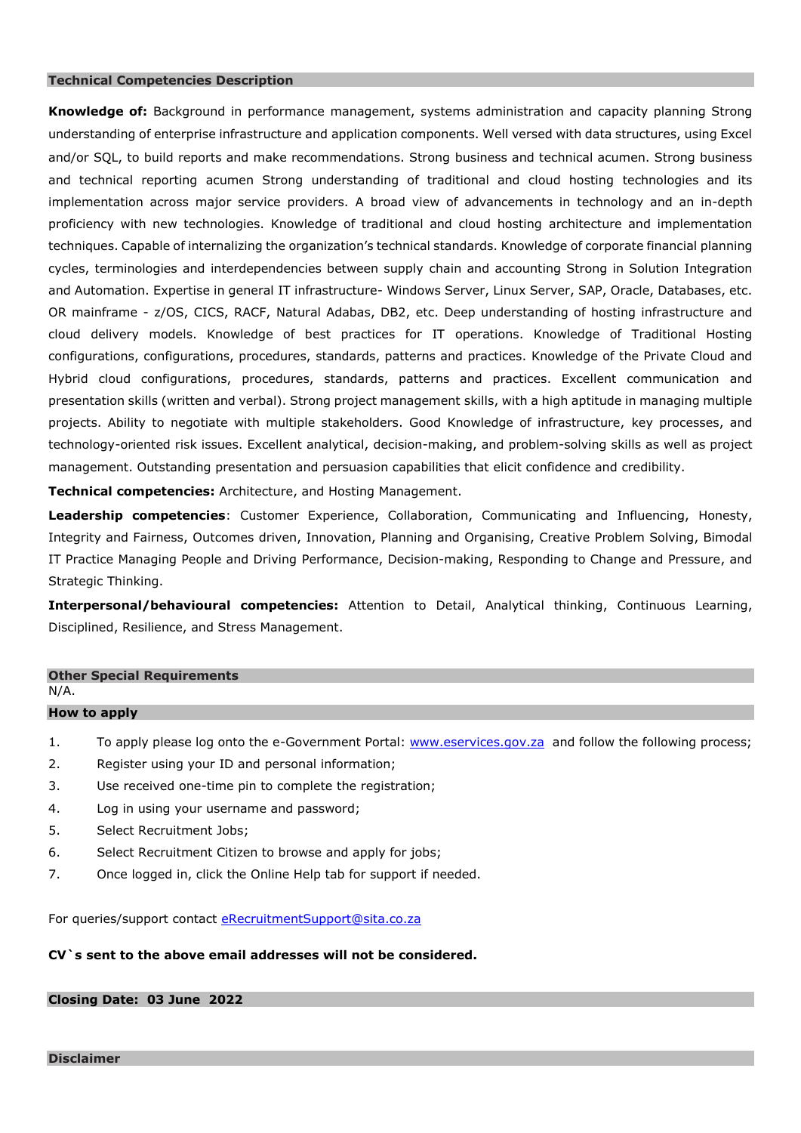## **Technical Competencies Description**

**Knowledge of:** Background in performance management, systems administration and capacity planning Strong understanding of enterprise infrastructure and application components. Well versed with data structures, using Excel and/or SQL, to build reports and make recommendations. Strong business and technical acumen. Strong business and technical reporting acumen Strong understanding of traditional and cloud hosting technologies and its implementation across major service providers. A broad view of advancements in technology and an in-depth proficiency with new technologies. Knowledge of traditional and cloud hosting architecture and implementation techniques. Capable of internalizing the organization's technical standards. Knowledge of corporate financial planning cycles, terminologies and interdependencies between supply chain and accounting Strong in Solution Integration and Automation. Expertise in general IT infrastructure- Windows Server, Linux Server, SAP, Oracle, Databases, etc. OR mainframe - z/OS, CICS, RACF, Natural Adabas, DB2, etc. Deep understanding of hosting infrastructure and cloud delivery models. Knowledge of best practices for IT operations. Knowledge of Traditional Hosting configurations, configurations, procedures, standards, patterns and practices. Knowledge of the Private Cloud and Hybrid cloud configurations, procedures, standards, patterns and practices. Excellent communication and presentation skills (written and verbal). Strong project management skills, with a high aptitude in managing multiple projects. Ability to negotiate with multiple stakeholders. Good Knowledge of infrastructure, key processes, and technology-oriented risk issues. Excellent analytical, decision-making, and problem-solving skills as well as project management. Outstanding presentation and persuasion capabilities that elicit confidence and credibility.

**Technical competencies:** Architecture, and Hosting Management.

**Leadership competencies**: Customer Experience, Collaboration, Communicating and Influencing, Honesty, Integrity and Fairness, Outcomes driven, Innovation, Planning and Organising, Creative Problem Solving, Bimodal IT Practice Managing People and Driving Performance, Decision-making, Responding to Change and Pressure, and Strategic Thinking.

**Interpersonal/behavioural competencies:** Attention to Detail, Analytical thinking, Continuous Learning, Disciplined, Resilience, and Stress Management.

## **Other Special Requirements** N/A.

## **How to apply**

- 1. To apply please log onto the e-Government Portal: [www.eservices.gov.za](http://www.eservices.gov.za/) and follow the following process;
- 2. Register using your ID and personal information;
- 3. Use received one-time pin to complete the registration;
- 4. Log in using your username and password;
- 5. Select Recruitment Jobs;
- 6. Select Recruitment Citizen to browse and apply for jobs;
- 7. Once logged in, click the Online Help tab for support if needed.

For queries/support contact [eRecruitmentSupport@sita.co.za](mailto:eRecruitmentSupport@sita.co.za)

## **CV`s sent to the above email addresses will not be considered.**

## **Closing Date: 03 June 2022**

**Disclaimer**